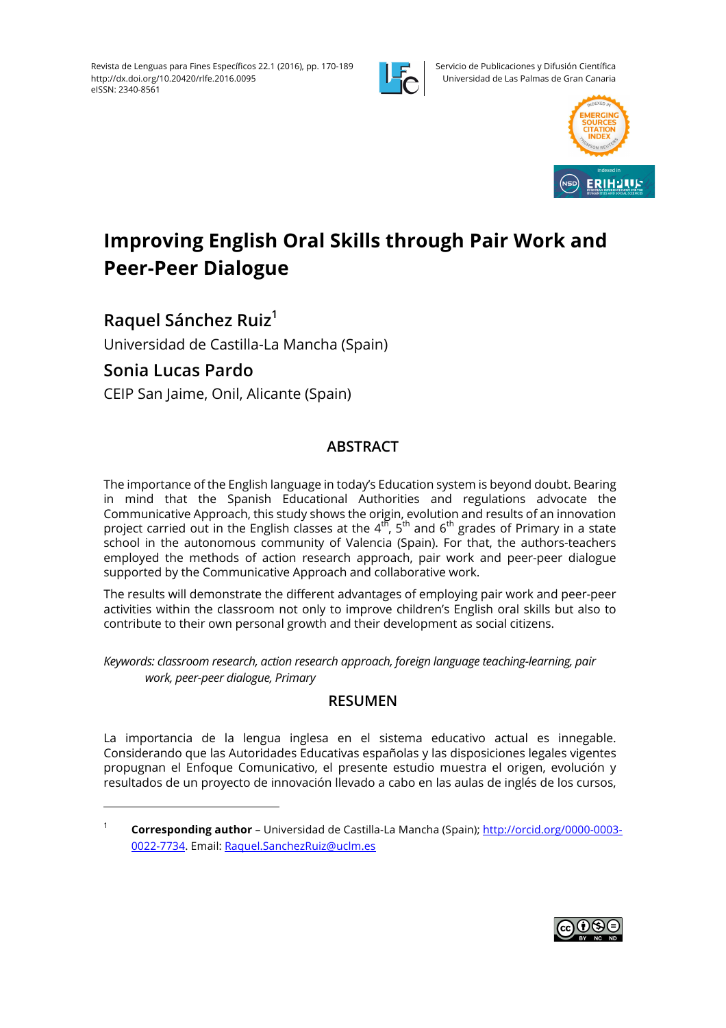

Servicio de Publicaciones y Difusión Científica Universidad de Las Palmas de Gran Canaria



# **Improving English Oral Skills through Pair Work and Peer-Peer Dialogue**

**Raquel Sánchez Ruiz1**

 

Universidad de Castilla-La Mancha (Spain)

# **Sonia Lucas Pardo**

CEIP San Jaime, Onil, Alicante (Spain)

# **ABSTRACT**

The importance of the English language in today's Education system is beyond doubt. Bearing in mind that the Spanish Educational Authorities and regulations advocate the Communicative Approach, this study shows the origin, evolution and results of an innovation project carried out in the English classes at the 4<sup>th</sup>, 5<sup>th</sup> and 6<sup>th</sup> grades of Primary in a state school in the autonomous community of Valencia (Spain). For that, the authors-teachers employed the methods of action research approach, pair work and peer-peer dialogue supported by the Communicative Approach and collaborative work.

The results will demonstrate the different advantages of employing pair work and peer-peer activities within the classroom not only to improve children's English oral skills but also to contribute to their own personal growth and their development as social citizens.

*Keywords: classroom research, action research approach, foreign language teaching-learning, pair work, peer-peer dialogue, Primary* 

## **RESUMEN**

La importancia de la lengua inglesa en el sistema educativo actual es innegable. Considerando que las Autoridades Educativas españolas y las disposiciones legales vigentes propugnan el Enfoque Comunicativo, el presente estudio muestra el origen, evolución y resultados de un proyecto de innovación llevado a cabo en las aulas de inglés de los cursos,



<sup>1</sup> **Corresponding author** – Universidad de Castilla-La Mancha (Spain); http://orcid.org/0000-0003- 0022-7734. Email: Raquel.SanchezRuiz@uclm.es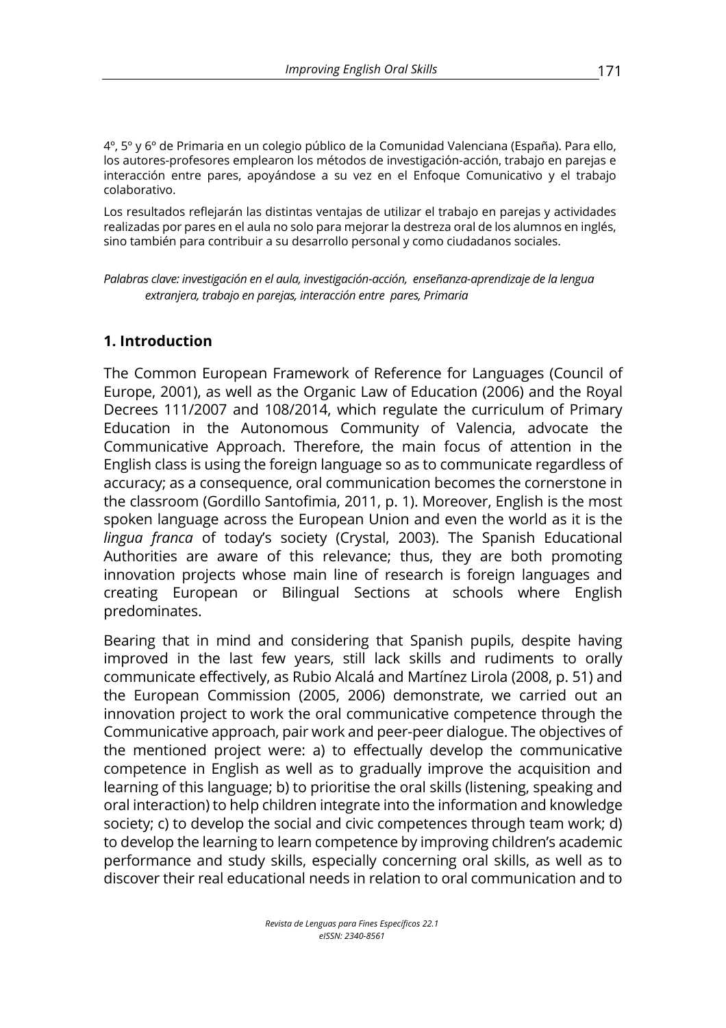4º, 5º y 6º de Primaria en un colegio público de la Comunidad Valenciana (España). Para ello, los autores-profesores emplearon los métodos de investigación-acción, trabajo en parejas e interacción entre pares, apoyándose a su vez en el Enfoque Comunicativo y el trabajo colaborativo.

Los resultados reflejarán las distintas ventajas de utilizar el trabajo en parejas y actividades realizadas por pares en el aula no solo para mejorar la destreza oral de los alumnos en inglés, sino también para contribuir a su desarrollo personal y como ciudadanos sociales.

*Palabras clave: investigación en el aula, investigación-acción, enseñanza-aprendizaje de la lengua extranjera, trabajo en parejas, interacción entre pares, Primaria*

### **1. Introduction**

The Common European Framework of Reference for Languages (Council of Europe, 2001), as well as the Organic Law of Education (2006) and the Royal Decrees 111/2007 and 108/2014, which regulate the curriculum of Primary Education in the Autonomous Community of Valencia, advocate the Communicative Approach. Therefore, the main focus of attention in the English class is using the foreign language so as to communicate regardless of accuracy; as a consequence, oral communication becomes the cornerstone in the classroom (Gordillo Santofimia, 2011, p. 1). Moreover, English is the most spoken language across the European Union and even the world as it is the *lingua franca* of today's society (Crystal, 2003). The Spanish Educational Authorities are aware of this relevance; thus, they are both promoting innovation projects whose main line of research is foreign languages and creating European or Bilingual Sections at schools where English predominates.

Bearing that in mind and considering that Spanish pupils, despite having improved in the last few years, still lack skills and rudiments to orally communicate effectively, as Rubio Alcalá and Martínez Lirola (2008, p. 51) and the European Commission (2005, 2006) demonstrate, we carried out an innovation project to work the oral communicative competence through the Communicative approach, pair work and peer-peer dialogue. The objectives of the mentioned project were: a) to effectually develop the communicative competence in English as well as to gradually improve the acquisition and learning of this language; b) to prioritise the oral skills (listening, speaking and oral interaction) to help children integrate into the information and knowledge society; c) to develop the social and civic competences through team work; d) to develop the learning to learn competence by improving children's academic performance and study skills, especially concerning oral skills, as well as to discover their real educational needs in relation to oral communication and to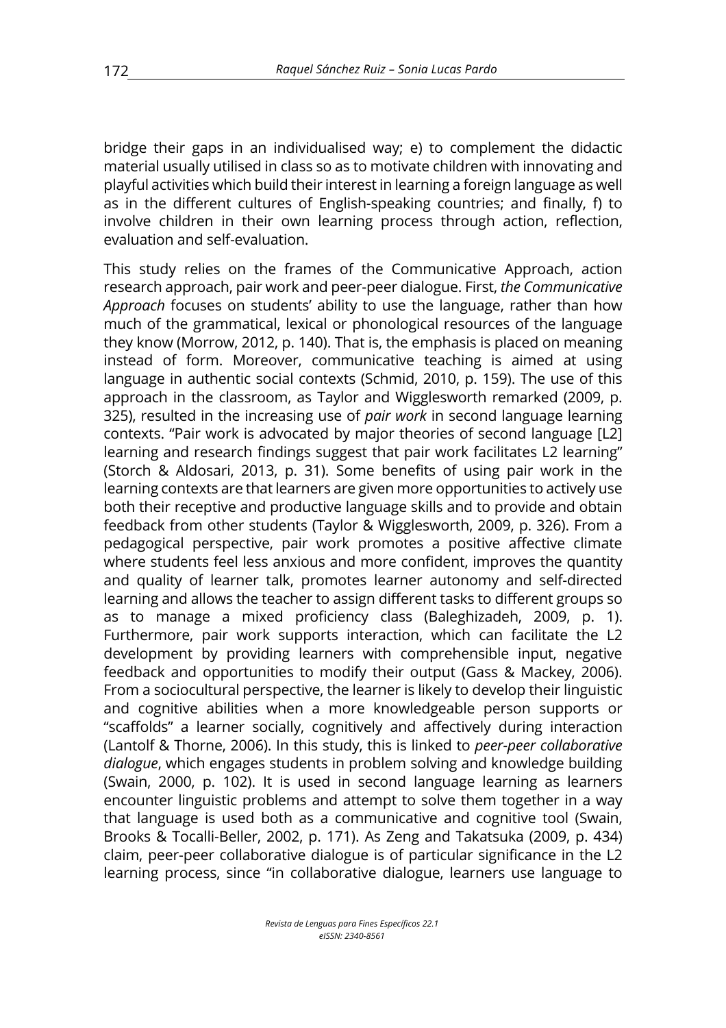bridge their gaps in an individualised way; e) to complement the didactic material usually utilised in class so as to motivate children with innovating and playful activities which build their interest in learning a foreign language as well as in the different cultures of English-speaking countries; and finally, f) to involve children in their own learning process through action, reflection, evaluation and self-evaluation.

This study relies on the frames of the Communicative Approach, action research approach, pair work and peer-peer dialogue. First, *the Communicative Approach* focuses on students' ability to use the language, rather than how much of the grammatical, lexical or phonological resources of the language they know (Morrow, 2012, p. 140). That is, the emphasis is placed on meaning instead of form. Moreover, communicative teaching is aimed at using language in authentic social contexts (Schmid, 2010, p. 159). The use of this approach in the classroom, as Taylor and Wigglesworth remarked (2009, p. 325), resulted in the increasing use of *pair work* in second language learning contexts. "Pair work is advocated by major theories of second language [L2] learning and research findings suggest that pair work facilitates L2 learning" (Storch & Aldosari, 2013, p. 31). Some benefits of using pair work in the learning contexts are that learners are given more opportunities to actively use both their receptive and productive language skills and to provide and obtain feedback from other students (Taylor & Wigglesworth, 2009, p. 326). From a pedagogical perspective, pair work promotes a positive affective climate where students feel less anxious and more confident, improves the quantity and quality of learner talk, promotes learner autonomy and self-directed learning and allows the teacher to assign different tasks to different groups so as to manage a mixed proficiency class (Baleghizadeh, 2009, p. 1). Furthermore, pair work supports interaction, which can facilitate the L2 development by providing learners with comprehensible input, negative feedback and opportunities to modify their output (Gass & Mackey, 2006). From a sociocultural perspective, the learner is likely to develop their linguistic and cognitive abilities when a more knowledgeable person supports or "scaffolds" a learner socially, cognitively and affectively during interaction (Lantolf & Thorne, 2006). In this study, this is linked to *peer-peer collaborative dialogue*, which engages students in problem solving and knowledge building (Swain, 2000, p. 102). It is used in second language learning as learners encounter linguistic problems and attempt to solve them together in a way that language is used both as a communicative and cognitive tool (Swain, Brooks & Tocalli-Beller, 2002, p. 171). As Zeng and Takatsuka (2009, p. 434) claim, peer-peer collaborative dialogue is of particular significance in the L2 learning process, since "in collaborative dialogue, learners use language to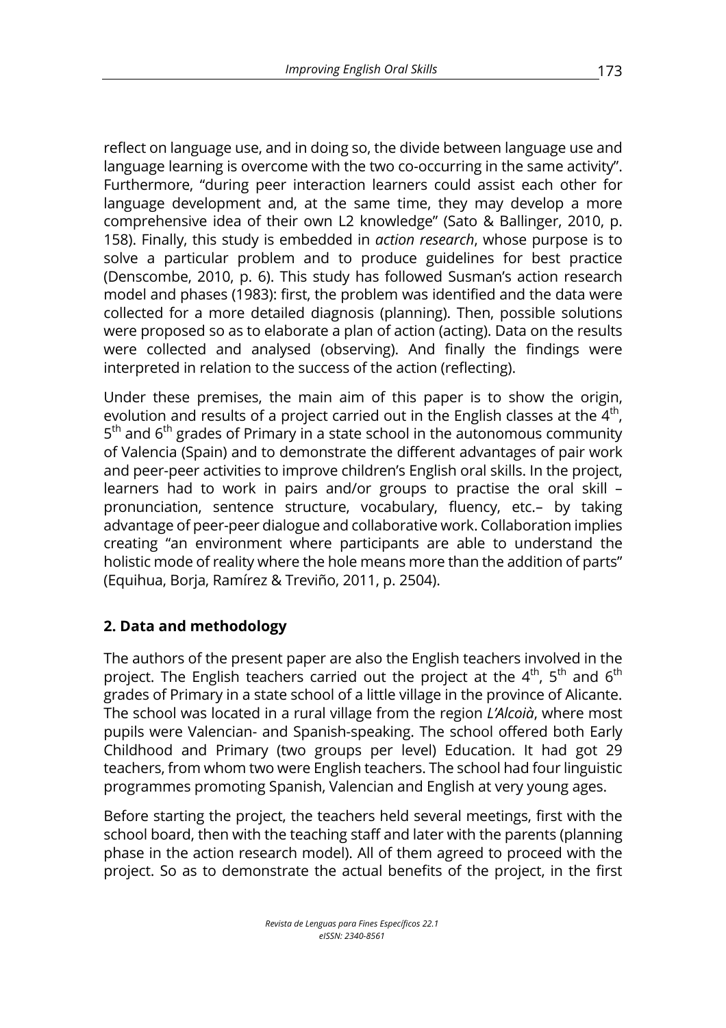reflect on language use, and in doing so, the divide between language use and language learning is overcome with the two co-occurring in the same activity". Furthermore, "during peer interaction learners could assist each other for language development and, at the same time, they may develop a more comprehensive idea of their own L2 knowledge" (Sato & Ballinger, 2010, p. 158). Finally, this study is embedded in *action research*, whose purpose is to solve a particular problem and to produce guidelines for best practice (Denscombe, 2010, p. 6). This study has followed Susman's action research model and phases (1983): first, the problem was identified and the data were collected for a more detailed diagnosis (planning). Then, possible solutions were proposed so as to elaborate a plan of action (acting). Data on the results were collected and analysed (observing). And finally the findings were interpreted in relation to the success of the action (reflecting).

Under these premises, the main aim of this paper is to show the origin, evolution and results of a project carried out in the English classes at the  $4<sup>th</sup>$ ,  $5<sup>th</sup>$  and  $6<sup>th</sup>$  grades of Primary in a state school in the autonomous community of Valencia (Spain) and to demonstrate the different advantages of pair work and peer-peer activities to improve children's English oral skills. In the project, learners had to work in pairs and/or groups to practise the oral skill – pronunciation, sentence structure, vocabulary, fluency, etc.– by taking advantage of peer-peer dialogue and collaborative work. Collaboration implies creating "an environment where participants are able to understand the holistic mode of reality where the hole means more than the addition of parts" (Equihua, Borja, Ramírez & Treviño, 2011, p. 2504).

## **2. Data and methodology**

The authors of the present paper are also the English teachers involved in the project. The English teachers carried out the project at the  $4^{th}$ ,  $5^{th}$  and  $6^{th}$ grades of Primary in a state school of a little village in the province of Alicante. The school was located in a rural village from the region *L'Alcoià*, where most pupils were Valencian- and Spanish-speaking. The school offered both Early Childhood and Primary (two groups per level) Education. It had got 29 teachers, from whom two were English teachers. The school had four linguistic programmes promoting Spanish, Valencian and English at very young ages.

Before starting the project, the teachers held several meetings, first with the school board, then with the teaching staff and later with the parents (planning phase in the action research model). All of them agreed to proceed with the project. So as to demonstrate the actual benefits of the project, in the first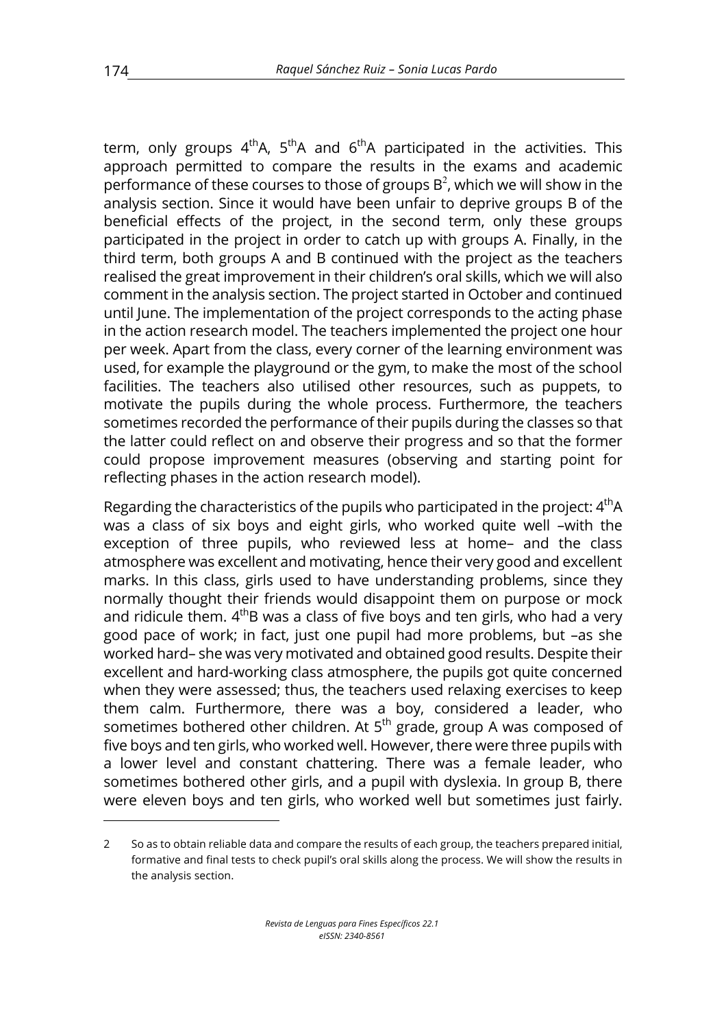term, only groups  $4<sup>th</sup>A$ ,  $5<sup>th</sup>A$  and  $6<sup>th</sup>A$  participated in the activities. This approach permitted to compare the results in the exams and academic performance of these courses to those of groups  $B^2$ , which we will show in the analysis section. Since it would have been unfair to deprive groups B of the beneficial effects of the project, in the second term, only these groups participated in the project in order to catch up with groups A. Finally, in the third term, both groups A and B continued with the project as the teachers realised the great improvement in their children's oral skills, which we will also comment in the analysis section. The project started in October and continued until June. The implementation of the project corresponds to the acting phase in the action research model. The teachers implemented the project one hour per week. Apart from the class, every corner of the learning environment was used, for example the playground or the gym, to make the most of the school facilities. The teachers also utilised other resources, such as puppets, to motivate the pupils during the whole process. Furthermore, the teachers sometimes recorded the performance of their pupils during the classes so that the latter could reflect on and observe their progress and so that the former could propose improvement measures (observing and starting point for reflecting phases in the action research model).

Regarding the characteristics of the pupils who participated in the project: 4<sup>th</sup>A was a class of six boys and eight girls, who worked quite well –with the exception of three pupils, who reviewed less at home– and the class atmosphere was excellent and motivating, hence their very good and excellent marks. In this class, girls used to have understanding problems, since they normally thought their friends would disappoint them on purpose or mock and ridicule them.  $4<sup>th</sup>B$  was a class of five boys and ten girls, who had a very good pace of work; in fact, just one pupil had more problems, but –as she worked hard– she was very motivated and obtained good results. Despite their excellent and hard-working class atmosphere, the pupils got quite concerned when they were assessed; thus, the teachers used relaxing exercises to keep them calm. Furthermore, there was a boy, considered a leader, who sometimes bothered other children. At 5<sup>th</sup> grade, group A was composed of five boys and ten girls, who worked well. However, there were three pupils with a lower level and constant chattering. There was a female leader, who sometimes bothered other girls, and a pupil with dyslexia. In group B, there were eleven boys and ten girls, who worked well but sometimes just fairly.

 

<sup>2</sup> So as to obtain reliable data and compare the results of each group, the teachers prepared initial, formative and final tests to check pupil's oral skills along the process. We will show the results in the analysis section.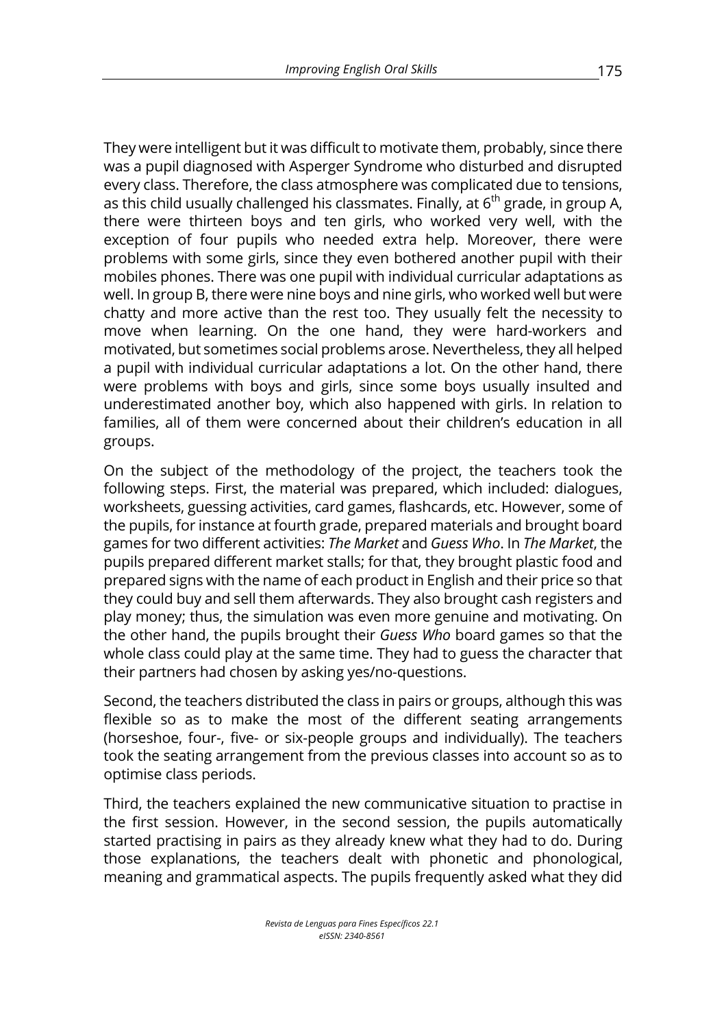They were intelligent but it was difficult to motivate them, probably, since there was a pupil diagnosed with Asperger Syndrome who disturbed and disrupted every class. Therefore, the class atmosphere was complicated due to tensions, as this child usually challenged his classmates. Finally, at  $6<sup>th</sup>$  grade, in group A, there were thirteen boys and ten girls, who worked very well, with the exception of four pupils who needed extra help. Moreover, there were problems with some girls, since they even bothered another pupil with their mobiles phones. There was one pupil with individual curricular adaptations as well. In group B, there were nine boys and nine girls, who worked well but were chatty and more active than the rest too. They usually felt the necessity to move when learning. On the one hand, they were hard-workers and motivated, but sometimes social problems arose. Nevertheless, they all helped a pupil with individual curricular adaptations a lot. On the other hand, there were problems with boys and girls, since some boys usually insulted and underestimated another boy, which also happened with girls. In relation to families, all of them were concerned about their children's education in all groups.

On the subject of the methodology of the project, the teachers took the following steps. First, the material was prepared, which included: dialogues, worksheets, guessing activities, card games, flashcards, etc. However, some of the pupils, for instance at fourth grade, prepared materials and brought board games for two different activities: *The Market* and *Guess Who*. In *The Market*, the pupils prepared different market stalls; for that, they brought plastic food and prepared signs with the name of each product in English and their price so that they could buy and sell them afterwards. They also brought cash registers and play money; thus, the simulation was even more genuine and motivating. On the other hand, the pupils brought their *Guess Who* board games so that the whole class could play at the same time. They had to guess the character that their partners had chosen by asking yes/no-questions.

Second, the teachers distributed the class in pairs or groups, although this was flexible so as to make the most of the different seating arrangements (horseshoe, four-, five- or six-people groups and individually). The teachers took the seating arrangement from the previous classes into account so as to optimise class periods.

Third, the teachers explained the new communicative situation to practise in the first session. However, in the second session, the pupils automatically started practising in pairs as they already knew what they had to do. During those explanations, the teachers dealt with phonetic and phonological, meaning and grammatical aspects. The pupils frequently asked what they did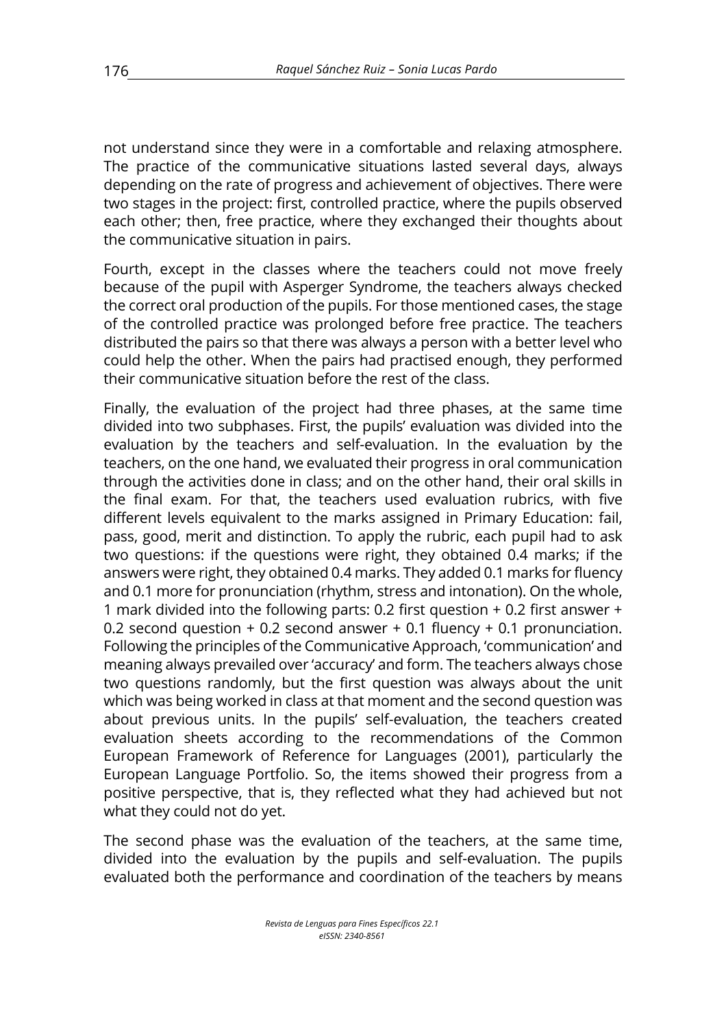not understand since they were in a comfortable and relaxing atmosphere. The practice of the communicative situations lasted several days, always depending on the rate of progress and achievement of objectives. There were two stages in the project: first, controlled practice, where the pupils observed each other; then, free practice, where they exchanged their thoughts about the communicative situation in pairs.

Fourth, except in the classes where the teachers could not move freely because of the pupil with Asperger Syndrome, the teachers always checked the correct oral production of the pupils. For those mentioned cases, the stage of the controlled practice was prolonged before free practice. The teachers distributed the pairs so that there was always a person with a better level who could help the other. When the pairs had practised enough, they performed their communicative situation before the rest of the class.

Finally, the evaluation of the project had three phases, at the same time divided into two subphases. First, the pupils' evaluation was divided into the evaluation by the teachers and self-evaluation. In the evaluation by the teachers, on the one hand, we evaluated their progress in oral communication through the activities done in class; and on the other hand, their oral skills in the final exam. For that, the teachers used evaluation rubrics, with five different levels equivalent to the marks assigned in Primary Education: fail, pass, good, merit and distinction. To apply the rubric, each pupil had to ask two questions: if the questions were right, they obtained 0.4 marks; if the answers were right, they obtained 0.4 marks. They added 0.1 marks for fluency and 0.1 more for pronunciation (rhythm, stress and intonation). On the whole, 1 mark divided into the following parts: 0.2 first question + 0.2 first answer + 0.2 second question  $+$  0.2 second answer  $+$  0.1 fluency  $+$  0.1 pronunciation. Following the principles of the Communicative Approach, 'communication' and meaning always prevailed over 'accuracy' and form. The teachers always chose two questions randomly, but the first question was always about the unit which was being worked in class at that moment and the second question was about previous units. In the pupils' self-evaluation, the teachers created evaluation sheets according to the recommendations of the Common European Framework of Reference for Languages (2001), particularly the European Language Portfolio. So, the items showed their progress from a positive perspective, that is, they reflected what they had achieved but not what they could not do yet.

The second phase was the evaluation of the teachers, at the same time, divided into the evaluation by the pupils and self-evaluation. The pupils evaluated both the performance and coordination of the teachers by means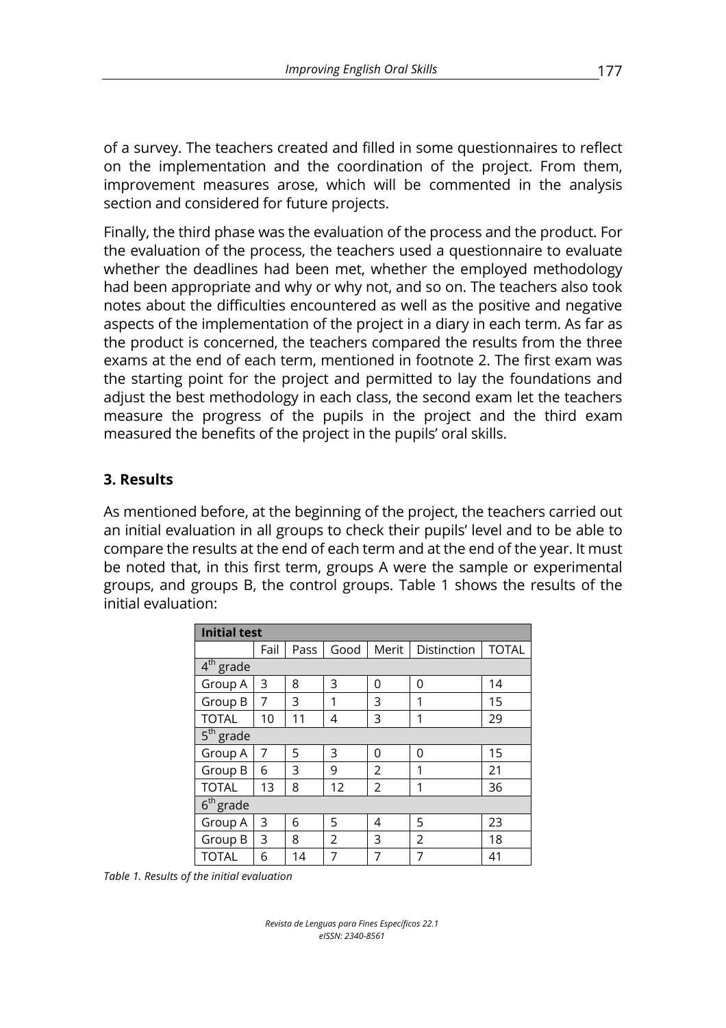of a survey. The teachers created and filled in some questionnaires to reflect on the implementation and the coordination of the project. From them, improvement measures arose, which will be commented in the analysis section and considered for future projects.

Finally, the third phase was the evaluation of the process and the product. For the evaluation of the process, the teachers used a questionnaire to evaluate whether the deadlines had been met, whether the employed methodology had been appropriate and why or why not, and so on. The teachers also took notes about the difficulties encountered as well as the positive and negative aspects of the implementation of the project in a diary in each term. As far as the product is concerned, the teachers compared the results from the three exams at the end of each term, mentioned in footnote 2. The first exam was the starting point for the project and permitted to lay the foundations and adjust the best methodology in each class, the second exam let the teachers measure the progress of the pupils in the project and the third exam measured the benefits of the project in the pupils' oral skills.

### **3. Results**

As mentioned before, at the beginning of the project, the teachers carried out an initial evaluation in all groups to check their pupils' level and to be able to compare the results at the end of each term and at the end of the year. It must be noted that, in this first term, groups A were the sample or experimental groups, and groups B, the control groups. Table 1 shows the results of the initial evaluation:

| <b>Initial test</b> |      |      |             |                |   |    |  |  |  |  |  |
|---------------------|------|------|-------------|----------------|---|----|--|--|--|--|--|
|                     | Fail | Pass | Good        | <b>TOTAL</b>   |   |    |  |  |  |  |  |
| $4th$ grade         |      |      |             |                |   |    |  |  |  |  |  |
| Group A             | 3    | 8    | 3           | 0              | 0 | 14 |  |  |  |  |  |
| Group B             | 7    | 3    | 1           | 3              | 1 | 15 |  |  |  |  |  |
| <b>TOTAL</b>        | 10   | 11   | 4           | 29             |   |    |  |  |  |  |  |
| $5th$ grade         |      |      |             |                |   |    |  |  |  |  |  |
| Group A             | 7    | 5    | 3           | 0              | 0 | 15 |  |  |  |  |  |
| Group B             | 6    | 3    | 9           | 2              | 1 | 21 |  |  |  |  |  |
| <b>TOTAL</b>        | 13   | 8    | 12          | $\overline{2}$ | 1 | 36 |  |  |  |  |  |
| $6th$ grade         |      |      |             |                |   |    |  |  |  |  |  |
| Group A             | 3    | 6    | 5           | 4              | 5 | 23 |  |  |  |  |  |
| Group B             | 3    | 8    | 2           | 3              | 2 | 18 |  |  |  |  |  |
| <b>TOTAL</b>        | 6    | 14   | 7<br>7<br>7 |                |   | 41 |  |  |  |  |  |

*Table 1. Results of the initial evaluation*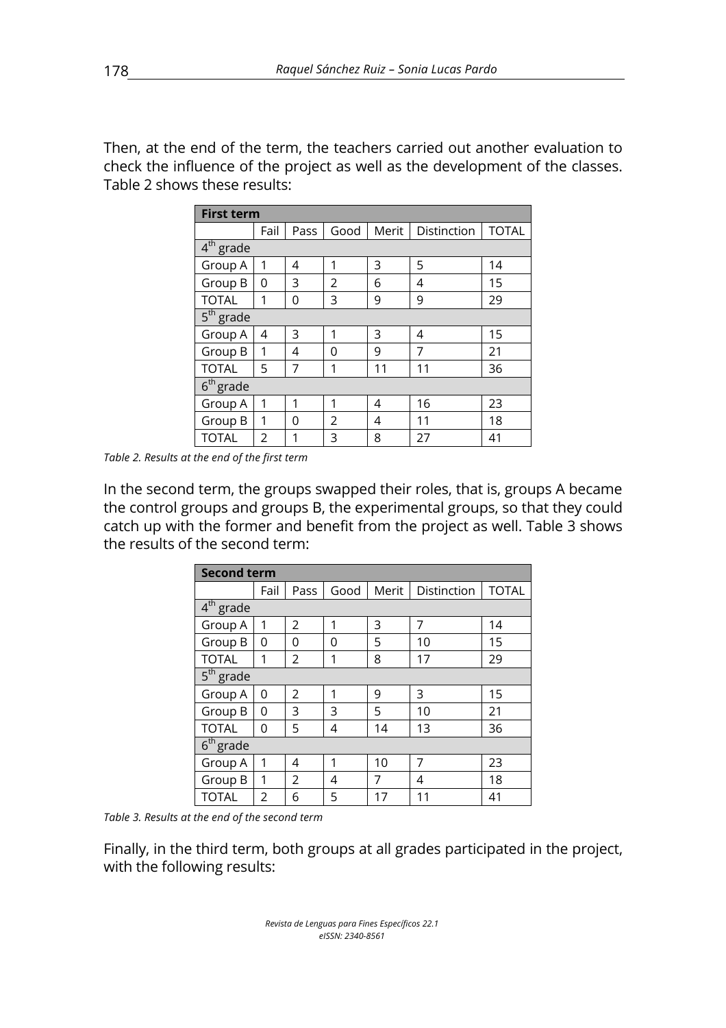Then, at the end of the term, the teachers carried out another evaluation to check the influence of the project as well as the development of the classes. Table 2 shows these results:

| <b>First term</b>     |      |      |      |       |             |              |  |  |  |  |  |  |
|-----------------------|------|------|------|-------|-------------|--------------|--|--|--|--|--|--|
|                       | Fail | Pass | Good | Merit | Distinction | <b>TOTAL</b> |  |  |  |  |  |  |
| 4 <sup>th</sup> grade |      |      |      |       |             |              |  |  |  |  |  |  |
| Group A               | 1    | 4    | 1    | 3     | 5           | 14           |  |  |  |  |  |  |
| Group B               | 0    | 3    | 2    | 6     | 15          |              |  |  |  |  |  |  |
| <b>TOTAL</b>          | 1    | 0    | 3    | 9     | 9           | 29           |  |  |  |  |  |  |
| $5th$ grade           |      |      |      |       |             |              |  |  |  |  |  |  |
| Group A               | 4    | 3    | 1    | 3     | 4           | 15           |  |  |  |  |  |  |
| Group B               | 1    | 4    | 0    | 9     | 7           | 21           |  |  |  |  |  |  |
| <b>TOTAL</b>          | 5    | 7    | 1    | 11    | 11          | 36           |  |  |  |  |  |  |
| $6th$ grade           |      |      |      |       |             |              |  |  |  |  |  |  |
| Group A               | 1    | 1    | 1    | 4     | 16          | 23           |  |  |  |  |  |  |
| Group B               | 1    | 0    | 2    | 4     | 11          | 18           |  |  |  |  |  |  |
| <b>TOTAL</b>          | 2    | 1    | 3    | 8     | 27          | 41           |  |  |  |  |  |  |

*Table 2. Results at the end of the first term*

In the second term, the groups swapped their roles, that is, groups A became the control groups and groups B, the experimental groups, so that they could catch up with the former and benefit from the project as well. Table 3 shows the results of the second term:

|                       | <b>Second term</b> |                |      |       |             |              |  |  |  |  |  |  |  |  |
|-----------------------|--------------------|----------------|------|-------|-------------|--------------|--|--|--|--|--|--|--|--|
|                       | Fail               | Pass           | Good | Merit | Distinction | <b>TOTAL</b> |  |  |  |  |  |  |  |  |
| $4th$ grade           |                    |                |      |       |             |              |  |  |  |  |  |  |  |  |
| Group A               | 1                  | $\overline{2}$ | 1    | 3     | 7           | 14           |  |  |  |  |  |  |  |  |
| Group B               | 0                  | 0              | 0    | 5     | 10          | 15           |  |  |  |  |  |  |  |  |
| <b>TOTAL</b>          | 1                  | 2              | 1    | 8     | 17          | 29           |  |  |  |  |  |  |  |  |
| 5 <sup>th</sup> grade |                    |                |      |       |             |              |  |  |  |  |  |  |  |  |
| Group A               | $\Omega$           | $\mathfrak{D}$ | 1    | 9     | 3           | 15           |  |  |  |  |  |  |  |  |
| Group B               | 0                  | 3              | 3    | 5     | 10          | 21           |  |  |  |  |  |  |  |  |
| <b>TOTAL</b>          | 0                  | 5              | 4    | 14    | 13          | 36           |  |  |  |  |  |  |  |  |
| $6th$ grade           |                    |                |      |       |             |              |  |  |  |  |  |  |  |  |
| Group A               | 1                  | 4              | 1    | 10    | 7           | 23           |  |  |  |  |  |  |  |  |
| Group B               | 1                  | 2              | 4    | 7     | 4           | 18           |  |  |  |  |  |  |  |  |
| <b>TOTAL</b>          | 2                  | 6              | 5    | 17    | 11          | 41           |  |  |  |  |  |  |  |  |

*Table 3. Results at the end of the second term*

Finally, in the third term, both groups at all grades participated in the project, with the following results: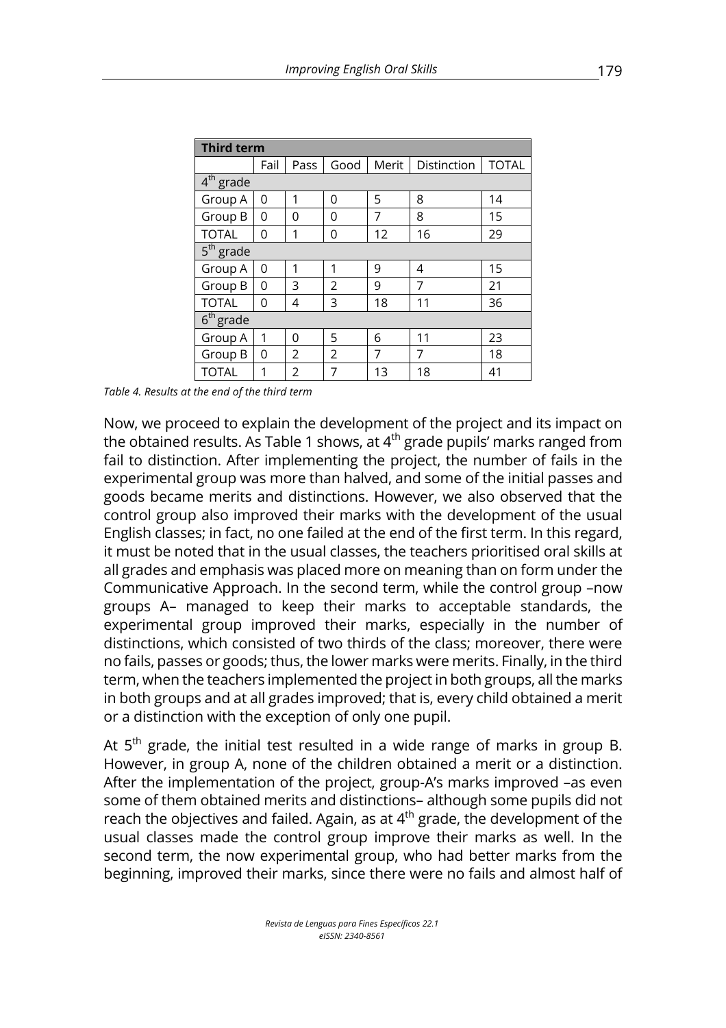| <b>Third term</b> |      |               |      |       |             |              |  |  |  |  |
|-------------------|------|---------------|------|-------|-------------|--------------|--|--|--|--|
|                   | Fail | Pass          | Good | Merit | Distinction | <b>TOTAL</b> |  |  |  |  |
| $4th$ grade       |      |               |      |       |             |              |  |  |  |  |
| Group A           | 0    | 1             | 0    | 5     | 8           | 14           |  |  |  |  |
| Group B           | 0    | O             | O    | 8     | 15          |              |  |  |  |  |
| <b>TOTAL</b>      | 0    | 1             | 0    | 12    | 16          | 29           |  |  |  |  |
| $5th$ grade       |      |               |      |       |             |              |  |  |  |  |
| Group A           | 0    | 1             | 1    | 9     | 4           | 15           |  |  |  |  |
| Group B           | 0    | 3             | 2    | 9     | 7           | 21           |  |  |  |  |
| <b>TOTAL</b>      | 0    | 4             | 3    | 18    | 11          | 36           |  |  |  |  |
| $6th$ grade       |      |               |      |       |             |              |  |  |  |  |
| Group A           | 1    | 0             | 5    | 6     | 11          | 23           |  |  |  |  |
| Group B           | 0    | $\mathcal{P}$ | 2    | 7     | 7           | 18           |  |  |  |  |
| <b>TOTAL</b>      | 1    | 2             | 7    | 13    | 18          | 41           |  |  |  |  |

*Table 4. Results at the end of the third term*

Now, we proceed to explain the development of the project and its impact on the obtained results. As Table 1 shows, at  $4<sup>th</sup>$  grade pupils' marks ranged from fail to distinction. After implementing the project, the number of fails in the experimental group was more than halved, and some of the initial passes and goods became merits and distinctions. However, we also observed that the control group also improved their marks with the development of the usual English classes; in fact, no one failed at the end of the first term. In this regard, it must be noted that in the usual classes, the teachers prioritised oral skills at all grades and emphasis was placed more on meaning than on form under the Communicative Approach. In the second term, while the control group –now groups A– managed to keep their marks to acceptable standards, the experimental group improved their marks, especially in the number of distinctions, which consisted of two thirds of the class; moreover, there were no fails, passes or goods; thus, the lower marks were merits. Finally, in the third term, when the teachers implemented the project in both groups, all the marks in both groups and at all grades improved; that is, every child obtained a merit or a distinction with the exception of only one pupil.

At  $5<sup>th</sup>$  grade, the initial test resulted in a wide range of marks in group B. However, in group A, none of the children obtained a merit or a distinction. After the implementation of the project, group-A's marks improved –as even some of them obtained merits and distinctions– although some pupils did not reach the objectives and failed. Again, as at  $4<sup>th</sup>$  grade, the development of the usual classes made the control group improve their marks as well. In the second term, the now experimental group, who had better marks from the beginning, improved their marks, since there were no fails and almost half of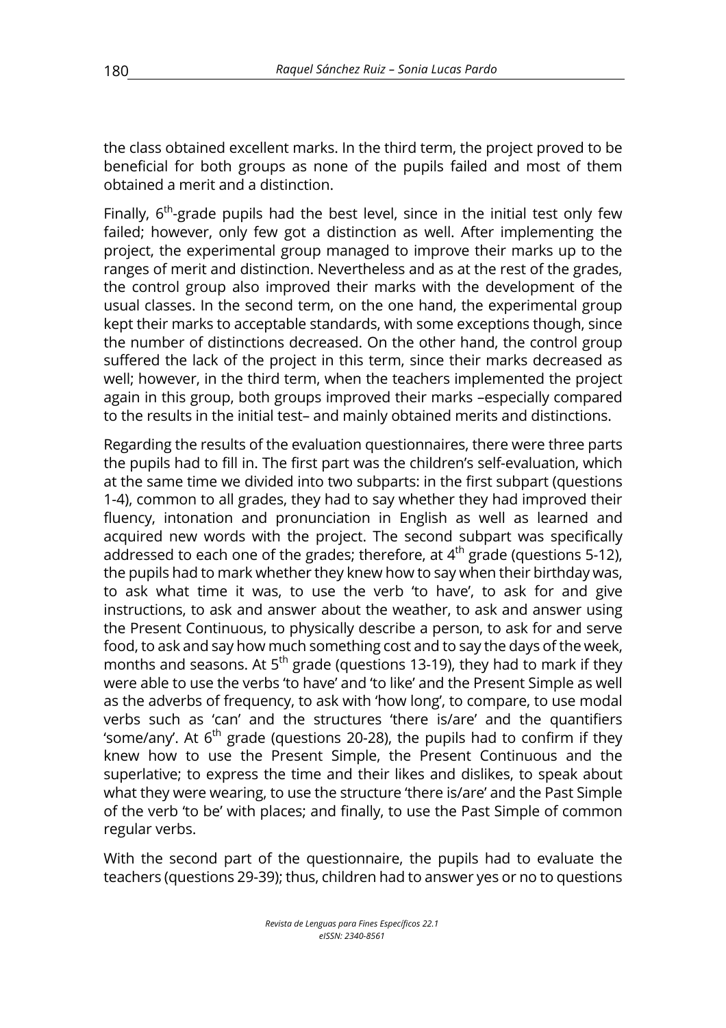the class obtained excellent marks. In the third term, the project proved to be beneficial for both groups as none of the pupils failed and most of them obtained a merit and a distinction.

Finally,  $6<sup>th</sup>$ -grade pupils had the best level, since in the initial test only few failed; however, only few got a distinction as well. After implementing the project, the experimental group managed to improve their marks up to the ranges of merit and distinction. Nevertheless and as at the rest of the grades, the control group also improved their marks with the development of the usual classes. In the second term, on the one hand, the experimental group kept their marks to acceptable standards, with some exceptions though, since the number of distinctions decreased. On the other hand, the control group suffered the lack of the project in this term, since their marks decreased as well; however, in the third term, when the teachers implemented the project again in this group, both groups improved their marks –especially compared to the results in the initial test– and mainly obtained merits and distinctions.

Regarding the results of the evaluation questionnaires, there were three parts the pupils had to fill in. The first part was the children's self-evaluation, which at the same time we divided into two subparts: in the first subpart (questions 1-4), common to all grades, they had to say whether they had improved their fluency, intonation and pronunciation in English as well as learned and acquired new words with the project. The second subpart was specifically addressed to each one of the grades; therefore, at  $4<sup>th</sup>$  grade (questions 5-12), the pupils had to mark whether they knew how to say when their birthday was, to ask what time it was, to use the verb 'to have', to ask for and give instructions, to ask and answer about the weather, to ask and answer using the Present Continuous, to physically describe a person, to ask for and serve food, to ask and say how much something cost and to say the days of the week, months and seasons. At  $5<sup>th</sup>$  grade (questions 13-19), they had to mark if they were able to use the verbs 'to have' and 'to like' and the Present Simple as well as the adverbs of frequency, to ask with 'how long', to compare, to use modal verbs such as 'can' and the structures 'there is/are' and the quantifiers 'some/any'. At  $6<sup>th</sup>$  grade (questions 20-28), the pupils had to confirm if they knew how to use the Present Simple, the Present Continuous and the superlative; to express the time and their likes and dislikes, to speak about what they were wearing, to use the structure 'there is/are' and the Past Simple of the verb 'to be' with places; and finally, to use the Past Simple of common regular verbs.

With the second part of the questionnaire, the pupils had to evaluate the teachers (questions 29-39); thus, children had to answer yes or no to questions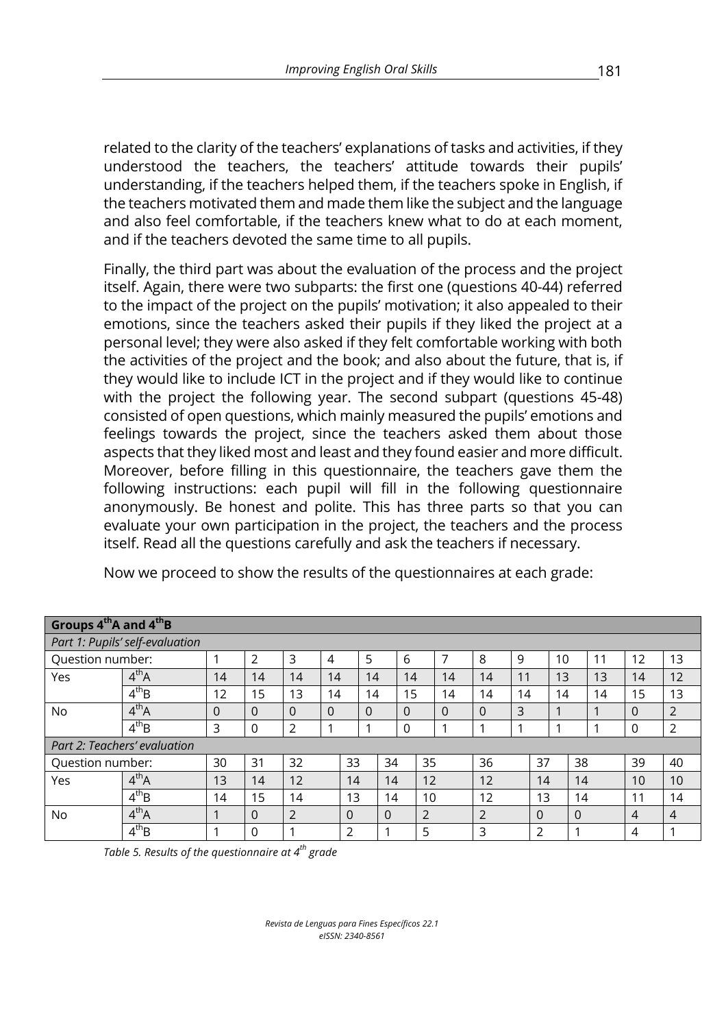related to the clarity of the teachers' explanations of tasks and activities, if they understood the teachers, the teachers' attitude towards their pupils' understanding, if the teachers helped them, if the teachers spoke in English, if the teachers motivated them and made them like the subject and the language and also feel comfortable, if the teachers knew what to do at each moment, and if the teachers devoted the same time to all pupils.

Finally, the third part was about the evaluation of the process and the project itself. Again, there were two subparts: the first one (questions 40-44) referred to the impact of the project on the pupils' motivation; it also appealed to their emotions, since the teachers asked their pupils if they liked the project at a personal level; they were also asked if they felt comfortable working with both the activities of the project and the book; and also about the future, that is, if they would like to include ICT in the project and if they would like to continue with the project the following year. The second subpart (questions 45-48) consisted of open questions, which mainly measured the pupils' emotions and feelings towards the project, since the teachers asked them about those aspects that they liked most and least and they found easier and more difficult. Moreover, before filling in this questionnaire, the teachers gave them the following instructions: each pupil will fill in the following questionnaire anonymously. Be honest and polite. This has three parts so that you can evaluate your own participation in the project, the teachers and the process itself. Read all the questions carefully and ask the teachers if necessary.

| Groups 4 <sup>th</sup> A and 4 <sup>th</sup> B |                              |    |                |                |          |          |          |          |                |          |                |    |          |    |          |    |    |                |
|------------------------------------------------|------------------------------|----|----------------|----------------|----------|----------|----------|----------|----------------|----------|----------------|----|----------|----|----------|----|----|----------------|
| Part 1: Pupils' self-evaluation                |                              |    |                |                |          |          |          |          |                |          |                |    |          |    |          |    |    |                |
| Question number:                               |                              |    | $\overline{2}$ | 3              | 4        | 5        |          | 6        |                | 7        | 8              | 9  |          | 10 |          | 11 | 12 | 13             |
| Yes                                            | 4 <sup>th</sup> A            | 14 | 14             | 14             | 14       | 14       |          | 14       |                | 14       | 14             | 11 |          | 13 |          | 13 | 14 | 12             |
|                                                | $4^{th}B$                    | 12 | 15             | 13             | 14       | 14       |          | 15       |                | 14       | 14             | 14 |          | 14 |          | 14 | 15 | 13             |
| No.                                            | $4^{th}A$                    | 0  | 0              | $\Omega$       | $\Omega$ | $\Omega$ |          | $\Omega$ |                | $\Omega$ | 0              | 3  |          |    |          |    | 0  | 2              |
|                                                | $4^{th}B$                    | 3  | 0              | 2              |          |          |          | 0        |                |          |                | ٠  |          |    |          |    | 0  | $\overline{2}$ |
|                                                | Part 2: Teachers' evaluation |    |                |                |          |          |          |          |                |          |                |    |          |    |          |    |    |                |
| Question number:                               |                              | 30 | 31             | 32             |          | 33       | 34       |          | 35             |          | 36             |    | 37       |    | 38       |    | 39 | 40             |
| Yes                                            | 4 <sup>th</sup> A            | 13 | 14             | 12             |          | 14       | 14       |          | 12             |          | 12             |    | 14       |    | 14       |    | 10 | 10             |
|                                                | $4^{th}B$                    | 14 | 15             | 14             |          | 13       | 14       |          | 10             |          | 12             |    | 13       |    | 14       |    | 11 | 14             |
| No.                                            | $4^{th}$ A                   |    | $\Omega$       | $\overline{2}$ |          | $\Omega$ | $\Omega$ |          | $\overline{2}$ |          | $\overline{2}$ |    | $\Omega$ |    | $\Omega$ |    | 4  | $\overline{4}$ |
|                                                | $4^{th}B$                    |    | 0              | 1              |          | 2        |          |          | 5              |          | 3              |    | 2        |    |          |    | 4  |                |

Now we proceed to show the results of the questionnaires at each grade:

*Table 5. Results of the questionnaire at 4th grade*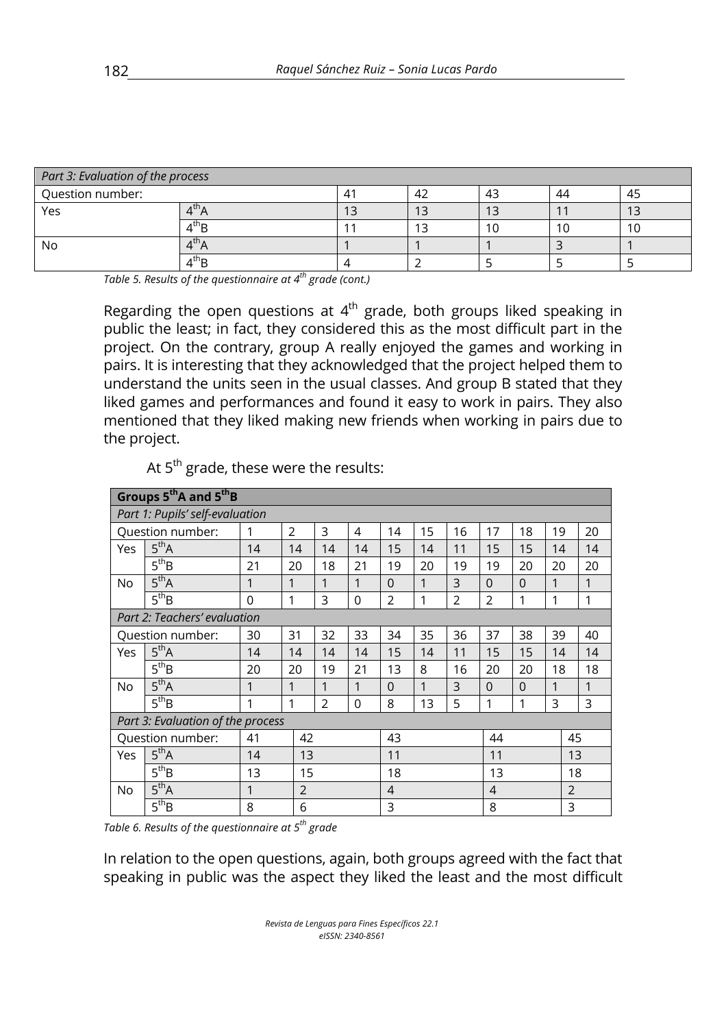| Part 3: Evaluation of the process |                                    |  |    |    |    |           |  |  |  |  |  |
|-----------------------------------|------------------------------------|--|----|----|----|-----------|--|--|--|--|--|
| Question number:                  |                                    |  | 42 | 43 | 44 | 45        |  |  |  |  |  |
| Yes                               | $\overline{a}$                     |  | 13 | 13 |    | າ ລ<br>15 |  |  |  |  |  |
|                                   | $4^{\sf th}$ B                     |  |    | 10 | 10 | 10        |  |  |  |  |  |
| No                                | $4^{\mathsf{th}}$ A                |  |    |    |    |           |  |  |  |  |  |
|                                   | $\mathsf{4}^\mathsf{th}\mathsf{B}$ |  |    |    |    |           |  |  |  |  |  |

*Table 5. Results of the questionnaire at 4th grade (cont.)*

Regarding the open questions at  $4<sup>th</sup>$  grade, both groups liked speaking in public the least; in fact, they considered this as the most difficult part in the project. On the contrary, group A really enjoyed the games and working in pairs. It is interesting that they acknowledged that the project helped them to understand the units seen in the usual classes. And group B stated that they liked games and performances and found it easy to work in pairs. They also mentioned that they liked making new friends when working in pairs due to the project.

|                              | Groups 5 <sup>th</sup> A and 5 <sup>th</sup> B |              |                |    |             |                |              |                |                |          |    |                |  |
|------------------------------|------------------------------------------------|--------------|----------------|----|-------------|----------------|--------------|----------------|----------------|----------|----|----------------|--|
|                              | Part 1: Pupils' self-evaluation                |              |                |    |             |                |              |                |                |          |    |                |  |
|                              | Question number:                               | 1            | $\overline{2}$ | 3  | 4           | 14             | 15           | 16             | 17             | 18       | 19 | 20             |  |
| Yes                          | $5^{th}$ A                                     | 14           | 14             | 14 | 14          | 15             | 14           | 11             | 15             | 15       | 14 | 14             |  |
|                              | 5 <sup>th</sup> B                              | 21           | 20             | 18 | 21          | 19             | 20           | 19             | 19             | 20       | 20 | 20             |  |
| No                           | 5 <sup>th</sup> A                              | 1            | 1              | 1  | 1           | $\Omega$       | 1            | 3              | $\Omega$       | $\Omega$ | 1  | 1              |  |
|                              | $5^{th}B$                                      | $\Omega$     | 1              | 3  | $\mathbf 0$ | $\overline{2}$ | $\mathbf{1}$ | $\overline{2}$ | $\overline{2}$ | 1        | 1  | 1              |  |
| Part 2: Teachers' evaluation |                                                |              |                |    |             |                |              |                |                |          |    |                |  |
| Question number:             |                                                | 30           | 31             | 32 | 33          | 34             | 35           | 36             | 37             | 38       | 39 | 40             |  |
| Yes                          | 5 <sup>th</sup> A                              | 14           | 14             | 14 | 14          | 15             | 14           | 11             | 15             | 15       | 14 | 14             |  |
|                              | 5 <sup>th</sup> B                              | 20           | 20             | 19 | 21          | 13             | 8            | 16             | 20             | 20       | 18 | 18             |  |
| No                           | 5 <sup>th</sup> A                              | 1            | 1              | 1  | 1           | $\Omega$       | $\mathbf{1}$ | 3              | $\Omega$       | $\Omega$ | 1  | 1              |  |
|                              | 5 <sup>th</sup> B                              | 1            | 1              | 2  | 0           | 8              | 13           | 5              | 1              | 1        | 3  | 3              |  |
|                              | Part 3: Evaluation of the process              |              |                |    |             |                |              |                |                |          |    |                |  |
|                              | Question number:                               | 41           | 42             |    |             | 43             |              |                | 44             |          |    | 45             |  |
| Yes                          | 5 <sup>th</sup> A                              | 14           | 13             |    |             | 11             |              |                | 11             |          |    | 13             |  |
|                              | 5 <sup>th</sup> B                              | 13           |                | 15 |             | 18             |              |                | 13             |          |    | 18             |  |
| No                           | 5 <sup>th</sup> A                              | $\mathbf{1}$ | $\overline{2}$ |    |             | $\overline{4}$ |              |                | $\overline{4}$ |          |    | $\overline{2}$ |  |
|                              | $5^{th}B$                                      | 8            | 6              |    |             | 3              |              |                | 8              |          |    | 3              |  |

At  $5<sup>th</sup>$  grade, these were the results:

*Table 6. Results of the questionnaire at 5th grade*

In relation to the open questions, again, both groups agreed with the fact that speaking in public was the aspect they liked the least and the most difficult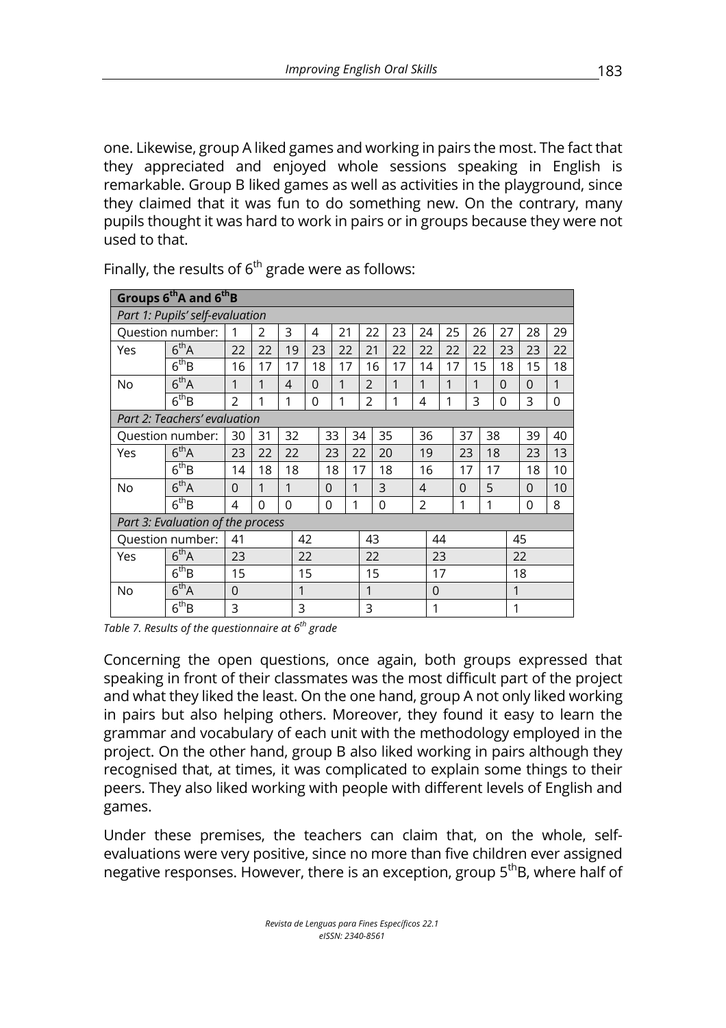one. Likewise, group A liked games and working in pairs the most. The fact that they appreciated and enjoyed whole sessions speaking in English is remarkable. Group B liked games as well as activities in the playground, since they claimed that it was fun to do something new. On the contrary, many pupils thought it was hard to work in pairs or in groups because they were not used to that.

|           | Groups 6 <sup>th</sup> A and 6 <sup>th</sup> B |                |                |                |    |          |    |                |          |    |    |             |               |    |    |          |                |
|-----------|------------------------------------------------|----------------|----------------|----------------|----|----------|----|----------------|----------|----|----|-------------|---------------|----|----|----------|----------------|
|           | Part 1: Pupils' self-evaluation                |                |                |                |    |          |    |                |          |    |    |             |               |    |    |          |                |
|           | Question number:                               | 1              | 2              | 3              | 4  |          | 21 | 22             | 23       | 24 |    | 25          | 26            | 27 |    | 28       | 29             |
| Yes       | $6^{\text{th}}$ A                              | 22             | 22             | 19             | 23 |          | 22 | 21             | 22       | 22 |    | 22          | 22            | 23 |    | 23       | 22             |
|           | $6^{th}B$                                      | 16             | 17             | 17             | 18 |          | 17 | 16             | 17       | 14 |    | 17          | 15            |    | 18 | 15       | 18             |
| No        | 6 <sup>th</sup> A                              | 1              | 1              | $\overline{4}$ | 0  | 1        |    | $\overline{2}$ | 1        | 1  | 1  |             | 1             | 0  |    | $\Omega$ | 1              |
|           | $6^{th}B$                                      | $\overline{2}$ | 1              | 1              | 0  | 1        |    | $\overline{2}$ | 1        | 4  | 1  |             | 3             | 0  |    | 3        | $\overline{0}$ |
|           | Part 2: Teachers' evaluation                   |                |                |                |    |          |    |                |          |    |    |             |               |    |    |          |                |
|           | Question number:                               | 30             | 31             | 32             | 33 |          |    | 35<br>34       |          | 36 |    |             | 38<br>37      |    |    | 39       | 40             |
| Yes       | $6^{\text{th}}$ A                              | 23             | 22             | 22             |    | 23       |    | 22<br>20       |          | 19 |    |             | 23            | 18 |    | 23       | 13             |
|           | $6^{th}B$                                      | 14             | 18             | 18             |    | 18       |    | 17             | 18       |    | 16 |             | 17<br>17      |    |    | 18       | 10             |
| <b>No</b> | 6 <sup>th</sup> A                              | 0              | 1              | 1              |    | $\Omega$ | 1  |                | 3        |    |    |             | 5<br>$\Omega$ |    |    | $\Omega$ | 10             |
|           | $6^{th}B$                                      | 4              | $\overline{0}$ | $\Omega$       |    | 0        | 1  |                | $\Omega$ | 2  |    | 1           |               | 1  |    | 0        | 8              |
|           | Part 3: Evaluation of the process              |                |                |                |    |          |    |                |          |    |    |             |               |    |    |          |                |
|           | Question number:                               | 41             |                |                | 42 |          |    | 43             |          |    | 44 |             |               |    | 45 |          |                |
| Yes       | $6^{th}$ A                                     | 23             |                |                | 22 |          |    | 22             |          |    | 23 |             |               |    |    | 22       |                |
|           | $6^{\text{th}}B$                               | 15             |                |                | 15 |          |    | 15             |          |    | 17 |             |               |    |    | 18       |                |
| No        | $6^{\text{th}}$ A                              | 0              |                | $\mathbf{1}$   |    |          |    | $\mathbf{1}$   |          |    |    | $\mathbf 0$ |               |    | 1  |          |                |
|           | $6^{th}B$                                      | 3              |                | 3              |    |          | 3  |                |          |    | 1  |             |               |    | 1  |          |                |

Finally, the results of  $6<sup>th</sup>$  grade were as follows:

*Table 7. Results of the questionnaire at 6th grade*

Concerning the open questions, once again, both groups expressed that speaking in front of their classmates was the most difficult part of the project and what they liked the least. On the one hand, group A not only liked working in pairs but also helping others. Moreover, they found it easy to learn the grammar and vocabulary of each unit with the methodology employed in the project. On the other hand, group B also liked working in pairs although they recognised that, at times, it was complicated to explain some things to their peers. They also liked working with people with different levels of English and games.

Under these premises, the teachers can claim that, on the whole, selfevaluations were very positive, since no more than five children ever assigned negative responses. However, there is an exception, group 5<sup>th</sup>B, where half of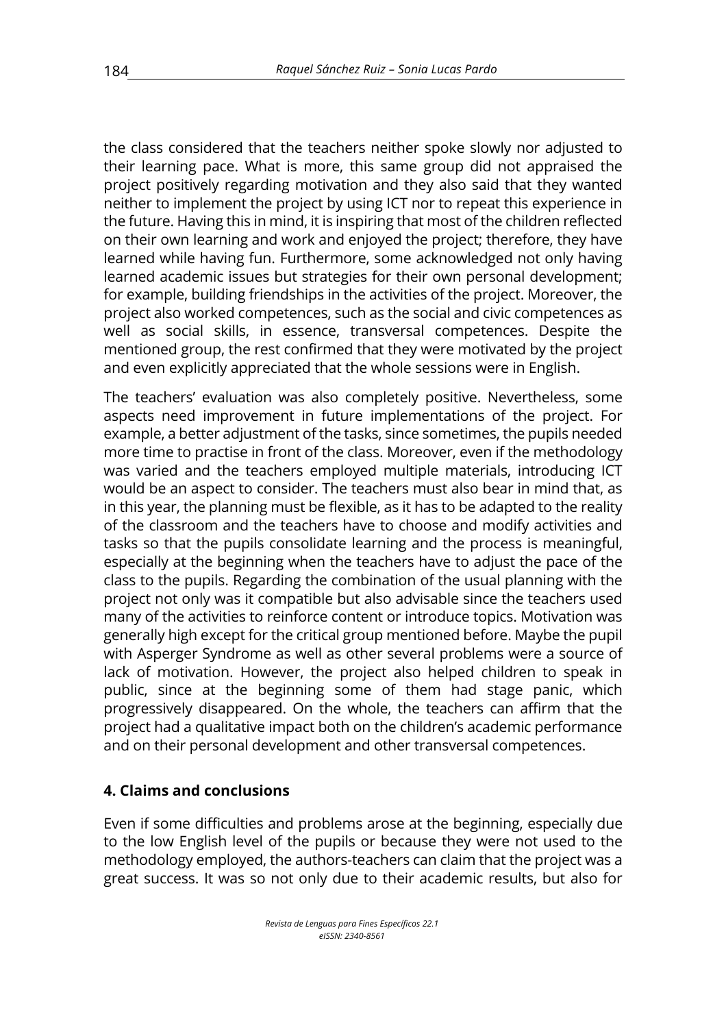the class considered that the teachers neither spoke slowly nor adjusted to their learning pace. What is more, this same group did not appraised the project positively regarding motivation and they also said that they wanted neither to implement the project by using ICT nor to repeat this experience in the future. Having this in mind, it is inspiring that most of the children reflected on their own learning and work and enjoyed the project; therefore, they have learned while having fun. Furthermore, some acknowledged not only having learned academic issues but strategies for their own personal development; for example, building friendships in the activities of the project. Moreover, the project also worked competences, such as the social and civic competences as well as social skills, in essence, transversal competences. Despite the mentioned group, the rest confirmed that they were motivated by the project and even explicitly appreciated that the whole sessions were in English.

The teachers' evaluation was also completely positive. Nevertheless, some aspects need improvement in future implementations of the project. For example, a better adjustment of the tasks, since sometimes, the pupils needed more time to practise in front of the class. Moreover, even if the methodology was varied and the teachers employed multiple materials, introducing ICT would be an aspect to consider. The teachers must also bear in mind that, as in this year, the planning must be flexible, as it has to be adapted to the reality of the classroom and the teachers have to choose and modify activities and tasks so that the pupils consolidate learning and the process is meaningful, especially at the beginning when the teachers have to adjust the pace of the class to the pupils. Regarding the combination of the usual planning with the project not only was it compatible but also advisable since the teachers used many of the activities to reinforce content or introduce topics. Motivation was generally high except for the critical group mentioned before. Maybe the pupil with Asperger Syndrome as well as other several problems were a source of lack of motivation. However, the project also helped children to speak in public, since at the beginning some of them had stage panic, which progressively disappeared. On the whole, the teachers can affirm that the project had a qualitative impact both on the children's academic performance and on their personal development and other transversal competences.

#### **4. Claims and conclusions**

Even if some difficulties and problems arose at the beginning, especially due to the low English level of the pupils or because they were not used to the methodology employed, the authors-teachers can claim that the project was a great success. It was so not only due to their academic results, but also for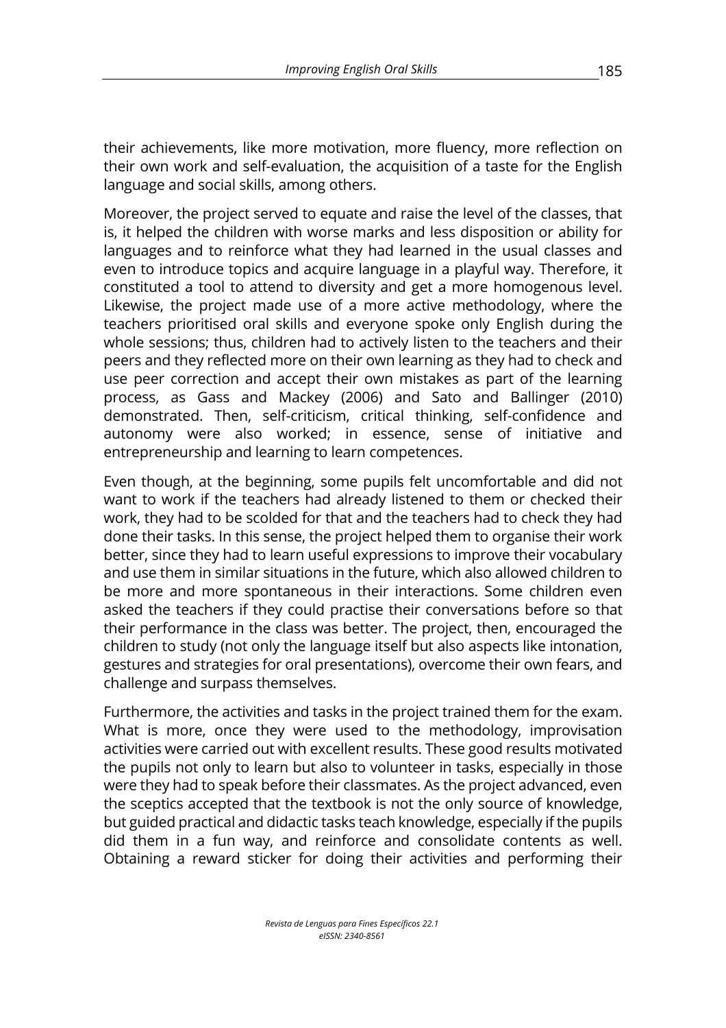their achievements, like more motivation, more fluency, more reflection on their own work and self-evaluation, the acquisition of a taste for the English language and social skills, among others.

Moreover, the project served to equate and raise the level of the classes, that is, it helped the children with worse marks and less disposition or ability for languages and to reinforce what they had learned in the usual classes and even to introduce topics and acquire language in a playful way. Therefore, it constituted a tool to attend to diversity and get a more homogenous level. Likewise, the project made use of a more active methodology, where the teachers prioritised oral skills and everyone spoke only English during the whole sessions; thus, children had to actively listen to the teachers and their peers and they reflected more on their own learning as they had to check and use peer correction and accept their own mistakes as part of the learning process, as Gass and Mackey (2006) and Sato and Ballinger (2010) demonstrated. Then, self-criticism, critical thinking, self-confidence and autonomy were also worked; in essence, sense of initiative and entrepreneurship and learning to learn competences.

Even though, at the beginning, some pupils felt uncomfortable and did not want to work if the teachers had already listened to them or checked their work, they had to be scolded for that and the teachers had to check they had done their tasks. In this sense, the project helped them to organise their work better, since they had to learn useful expressions to improve their vocabulary and use them in similar situations in the future, which also allowed children to be more and more spontaneous in their interactions. Some children even asked the teachers if they could practise their conversations before so that their performance in the class was better. The project, then, encouraged the children to study (not only the language itself but also aspects like intonation, gestures and strategies for oral presentations), overcome their own fears, and challenge and surpass themselves.

Furthermore, the activities and tasks in the project trained them for the exam. What is more, once they were used to the methodology, improvisation activities were carried out with excellent results. These good results motivated the pupils not only to learn but also to volunteer in tasks, especially in those were they had to speak before their classmates. As the project advanced, even the sceptics accepted that the textbook is not the only source of knowledge, but guided practical and didactic tasks teach knowledge, especially if the pupils did them in a fun way, and reinforce and consolidate contents as well. Obtaining a reward sticker for doing their activities and performing their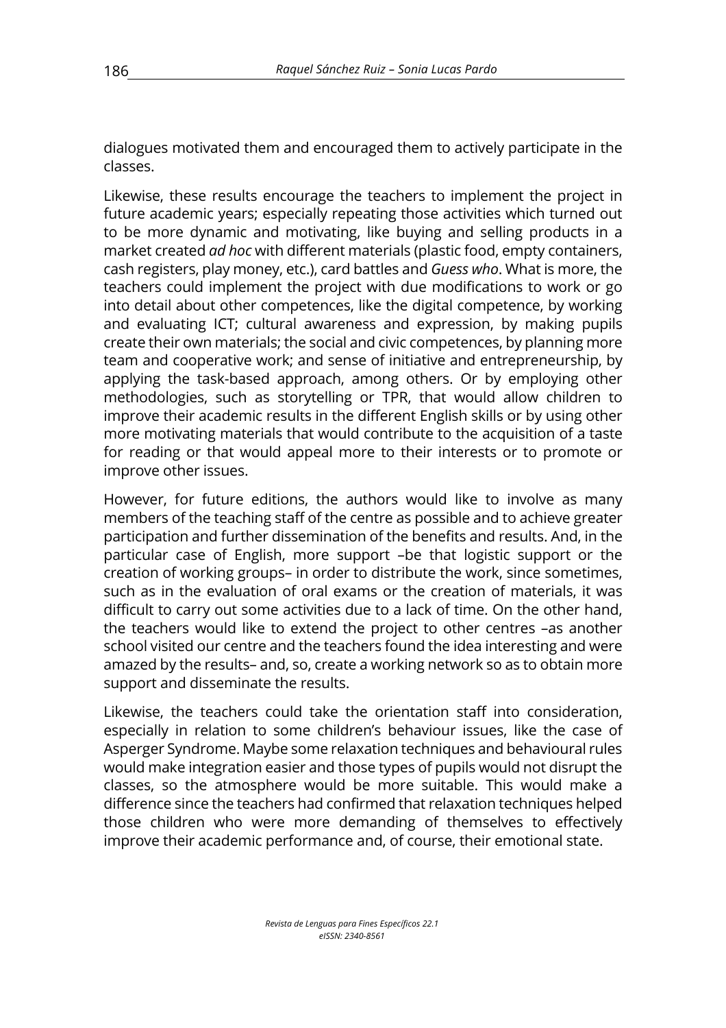dialogues motivated them and encouraged them to actively participate in the classes.

Likewise, these results encourage the teachers to implement the project in future academic years; especially repeating those activities which turned out to be more dynamic and motivating, like buying and selling products in a market created *ad hoc* with different materials (plastic food, empty containers, cash registers, play money, etc.), card battles and *Guess who*. What is more, the teachers could implement the project with due modifications to work or go into detail about other competences, like the digital competence, by working and evaluating ICT; cultural awareness and expression, by making pupils create their own materials; the social and civic competences, by planning more team and cooperative work; and sense of initiative and entrepreneurship, by applying the task-based approach, among others. Or by employing other methodologies, such as storytelling or TPR, that would allow children to improve their academic results in the different English skills or by using other more motivating materials that would contribute to the acquisition of a taste for reading or that would appeal more to their interests or to promote or improve other issues.

However, for future editions, the authors would like to involve as many members of the teaching staff of the centre as possible and to achieve greater participation and further dissemination of the benefits and results. And, in the particular case of English, more support –be that logistic support or the creation of working groups– in order to distribute the work, since sometimes, such as in the evaluation of oral exams or the creation of materials, it was difficult to carry out some activities due to a lack of time. On the other hand, the teachers would like to extend the project to other centres –as another school visited our centre and the teachers found the idea interesting and were amazed by the results– and, so, create a working network so as to obtain more support and disseminate the results.

Likewise, the teachers could take the orientation staff into consideration, especially in relation to some children's behaviour issues, like the case of Asperger Syndrome. Maybe some relaxation techniques and behavioural rules would make integration easier and those types of pupils would not disrupt the classes, so the atmosphere would be more suitable. This would make a difference since the teachers had confirmed that relaxation techniques helped those children who were more demanding of themselves to effectively improve their academic performance and, of course, their emotional state.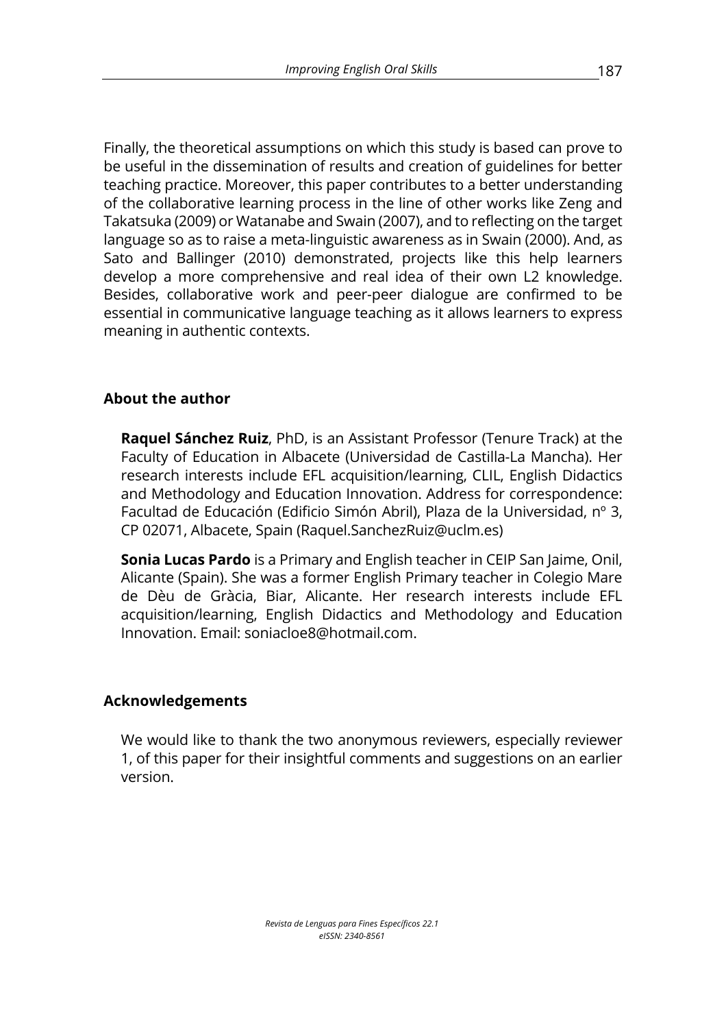Finally, the theoretical assumptions on which this study is based can prove to be useful in the dissemination of results and creation of guidelines for better teaching practice. Moreover, this paper contributes to a better understanding of the collaborative learning process in the line of other works like Zeng and Takatsuka (2009) or Watanabe and Swain (2007), and to reflecting on the target language so as to raise a meta-linguistic awareness as in Swain (2000). And, as Sato and Ballinger (2010) demonstrated, projects like this help learners develop a more comprehensive and real idea of their own L2 knowledge. Besides, collaborative work and peer-peer dialogue are confirmed to be essential in communicative language teaching as it allows learners to express meaning in authentic contexts.

### **About the author**

**Raquel Sánchez Ruiz**, PhD, is an Assistant Professor (Tenure Track) at the Faculty of Education in Albacete (Universidad de Castilla-La Mancha). Her research interests include EFL acquisition/learning, CLIL, English Didactics and Methodology and Education Innovation. Address for correspondence: Facultad de Educación (Edificio Simón Abril), Plaza de la Universidad, nº 3, CP 02071, Albacete, Spain (Raquel.SanchezRuiz@uclm.es)

**Sonia Lucas Pardo** is a Primary and English teacher in CEIP San Jaime, Onil, Alicante (Spain). She was a former English Primary teacher in Colegio Mare de Dèu de Gràcia, Biar, Alicante. Her research interests include EFL acquisition/learning, English Didactics and Methodology and Education Innovation. Email: soniacloe8@hotmail.com.

#### **Acknowledgements**

We would like to thank the two anonymous reviewers, especially reviewer 1, of this paper for their insightful comments and suggestions on an earlier version.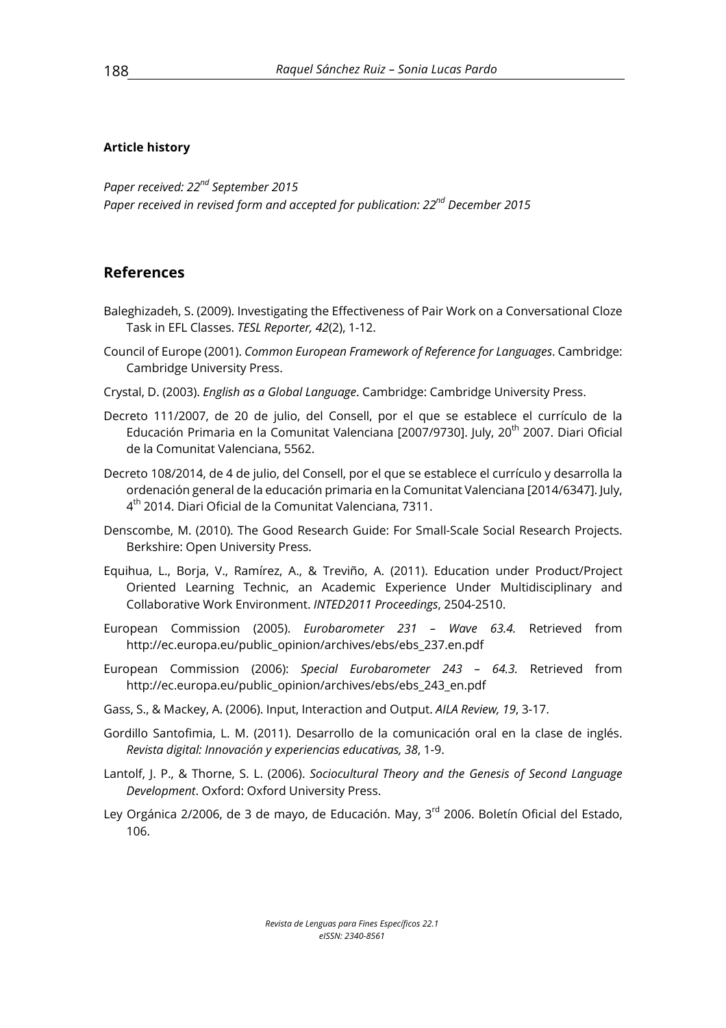#### **Article history**

*Paper received: 22nd September 2015 Paper received in revised form and accepted for publication: 22nd December 2015*

#### **References**

- Baleghizadeh, S. (2009). Investigating the Effectiveness of Pair Work on a Conversational Cloze Task in EFL Classes. *TESL Reporter, 42*(2), 1-12.
- Council of Europe (2001). *Common European Framework of Reference for Languages*. Cambridge: Cambridge University Press.
- Crystal, D. (2003). *English as a Global Language*. Cambridge: Cambridge University Press.
- Decreto 111/2007, de 20 de julio, del Consell, por el que se establece el currículo de la Educación Primaria en la Comunitat Valenciana [2007/9730]. July, 20<sup>th</sup> 2007. Diari Oficial de la Comunitat Valenciana, 5562.
- Decreto 108/2014, de 4 de julio, del Consell, por el que se establece el currículo y desarrolla la ordenación general de la educación primaria en la Comunitat Valenciana [2014/6347]. July, 4th 2014. Diari Oficial de la Comunitat Valenciana, 7311.
- Denscombe, M. (2010). The Good Research Guide: For Small-Scale Social Research Projects. Berkshire: Open University Press.
- Equihua, L., Borja, V., Ramírez, A., & Treviño, A. (2011). Education under Product/Project Oriented Learning Technic, an Academic Experience Under Multidisciplinary and Collaborative Work Environment. *INTED2011 Proceedings*, 2504-2510.
- European Commission (2005). *Eurobarometer 231 – Wave 63.4.* Retrieved from http://ec.europa.eu/public\_opinion/archives/ebs/ebs\_237.en.pdf
- European Commission (2006): *Special Eurobarometer 243 – 64.3.* Retrieved from http://ec.europa.eu/public\_opinion/archives/ebs/ebs\_243\_en.pdf
- Gass, S., & Mackey, A. (2006). Input, Interaction and Output. *AILA Review, 19*, 3-17.
- Gordillo Santofimia, L. M. (2011). Desarrollo de la comunicación oral en la clase de inglés. *Revista digital: Innovación y experiencias educativas, 38*, 1-9.
- Lantolf, J. P., & Thorne, S. L. (2006). *Sociocultural Theory and the Genesis of Second Language Development*. Oxford: Oxford University Press.
- Ley Orgánica 2/2006, de 3 de mayo, de Educación. May, 3<sup>rd</sup> 2006. Boletín Oficial del Estado. 106.